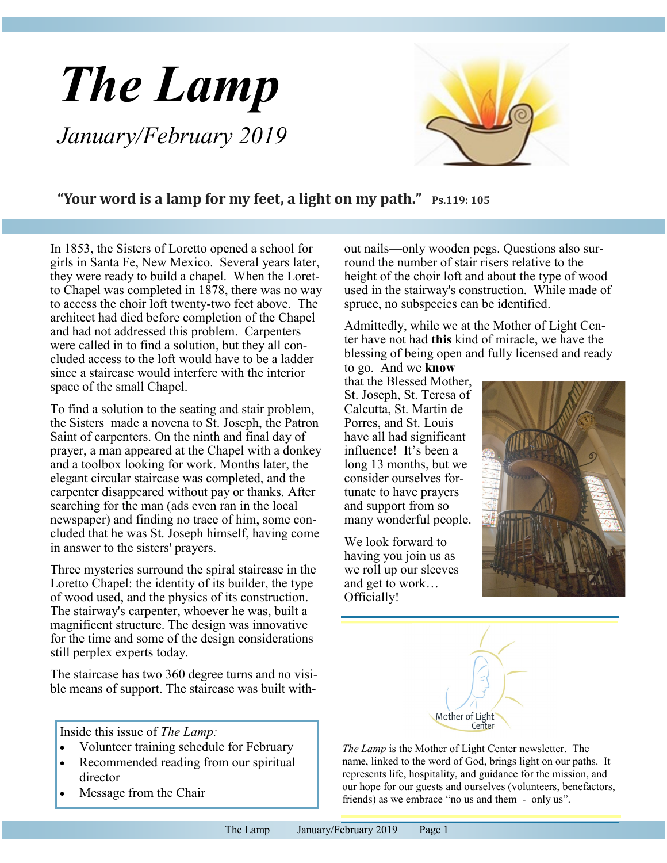# *The Lamp January/February 2019*



### **"Your word is a lamp for my feet, a light on my path." Ps.119: 105**

In 1853, the Sisters of Loretto opened a school for girls in Santa Fe, New Mexico. Several years later, they were ready to build a chapel. When the Loretto Chapel was completed in 1878, there was no way to access the choir loft twenty-two feet above. The architect had died before completion of the Chapel and had not addressed this problem. Carpenters were called in to find a solution, but they all concluded access to the loft would have to be a ladder since a staircase would interfere with the interior space of the small Chapel.

To find a solution to the seating and stair problem, the Sisters made a novena to St. Joseph, the Patron Saint of carpenters. On the ninth and final day of prayer, a man appeared at the Chapel with a donkey and a toolbox looking for work. Months later, the elegant circular staircase was completed, and the carpenter disappeared without pay or thanks. After searching for the man (ads even ran in the local newspaper) and finding no trace of him, some concluded that he was St. Joseph himself, having come in answer to the sisters' prayers.

Three mysteries surround the spiral staircase in the Loretto Chapel: the identity of its builder, the type of wood used, and the physics of its construction. The stairway's carpenter, whoever he was, built a magnificent structure. The design was innovative for the time and some of the design considerations still perplex experts today.

The staircase has two 360 degree turns and no visible means of support. The staircase was built with-

Inside this issue of *The Lamp:*

- Volunteer training schedule for February
- Recommended reading from our spiritual director
- Message from the Chair

out nails—only wooden pegs. Questions also surround the number of stair risers relative to the height of the choir loft and about the type of wood used in the stairway's construction. While made of spruce, no subspecies can be identified.

Admittedly, while we at the Mother of Light Center have not had **this** kind of miracle, we have the blessing of being open and fully licensed and ready

to go. And we **know**  that the Blessed Mother, St. Joseph, St. Teresa of Calcutta, St. Martin de Porres, and St. Louis have all had significant influence! It's been a long 13 months, but we consider ourselves fortunate to have prayers and support from so many wonderful people.

We look forward to having you join us as we roll up our sleeves and get to work… Officially!





*The Lamp* is the Mother of Light Center newsletter. The name, linked to the word of God, brings light on our paths. It represents life, hospitality, and guidance for the mission, and our hope for our guests and ourselves (volunteers, benefactors, friends) as we embrace "no us and them - only us".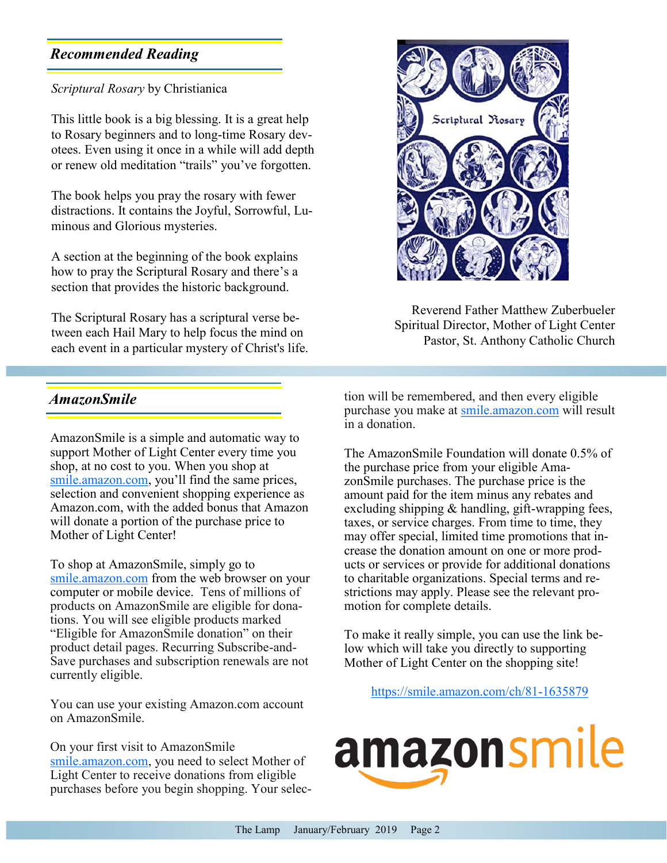# <span id="page-1-0"></span>*Recommended Reading*

#### *Scriptural Rosary* by Christianica

This little book is a big blessing. It is a great help to Rosary beginners and to long-time Rosary devotees. Even using it once in a while will add depth or renew old meditation "trails" you've forgotten.

The book helps you pray the rosary with fewer distractions. It contains the Joyful, Sorrowful, Luminous and Glorious mysteries.

A section at the beginning of the book explains how to pray the Scriptural Rosary and there's a section that provides the historic background.

The Scriptural Rosary has a scriptural verse between each Hail Mary to help focus the mind on each event in a particular mystery of Christ's life.

## *AmazonSmile*

AmazonSmile is a simple and automatic way to support Mother of Light Center every time you shop, at no cost to you. When you shop at [smile.amazon.com,](https://smile.amazon.com/ref=smi_se_saas_lsmi_smi) you'll find the same prices, selection and convenient shopping experience as Amazon.com, with the added bonus that Amazon will donate a portion of the purchase price to Mother of Light Center!

To shop at AmazonSmile, simply go to [smile.amazon.com](https://smile.amazon.com/ref=smi_se_saas_lsmi_smi) from the web browser on your computer or mobile device. Tens of millions of products on AmazonSmile are eligible for donations. You will see eligible products marked "Eligible for AmazonSmile donation" on their product detail pages. Recurring Subscribe-and-Save purchases and subscription renewals are not currently eligible.

You can use your existing Amazon.com account on AmazonSmile.

On your first visit to AmazonSmile [smile.amazon.com,](https://smile.amazon.com/ref=smi_se_saas_lsmi_smi) you need to select Mother of Light Center to receive donations from eligible purchases before you begin shopping. Your selec-



Reverend Father Matthew Zuberbueler Spiritual Director, Mother of Light Center Pastor, St. Anthony Catholic Church

tion will be remembered, and then every eligible purchase you make at [smile.amazon.com](https://smile.amazon.com/ref=smi_se_saas_lsmi_smi) will result in a donation.

The AmazonSmile Foundation will donate 0.5% of the purchase price from your eligible AmazonSmile purchases. The purchase price is the amount paid for the item minus any rebates and excluding shipping & handling, gift-wrapping fees, taxes, or service charges. From time to time, they may offer special, limited time promotions that increase the donation amount on one or more products or services or provide for additional donations to charitable organizations. Special terms and restrictions may apply. Please see the relevant promotion for complete details.

To make it really simple, you can use the link below which will take you directly to supporting Mother of Light Center on the shopping site!

[https://smile.amazon.com/ch/81](#page-1-0)-1635879

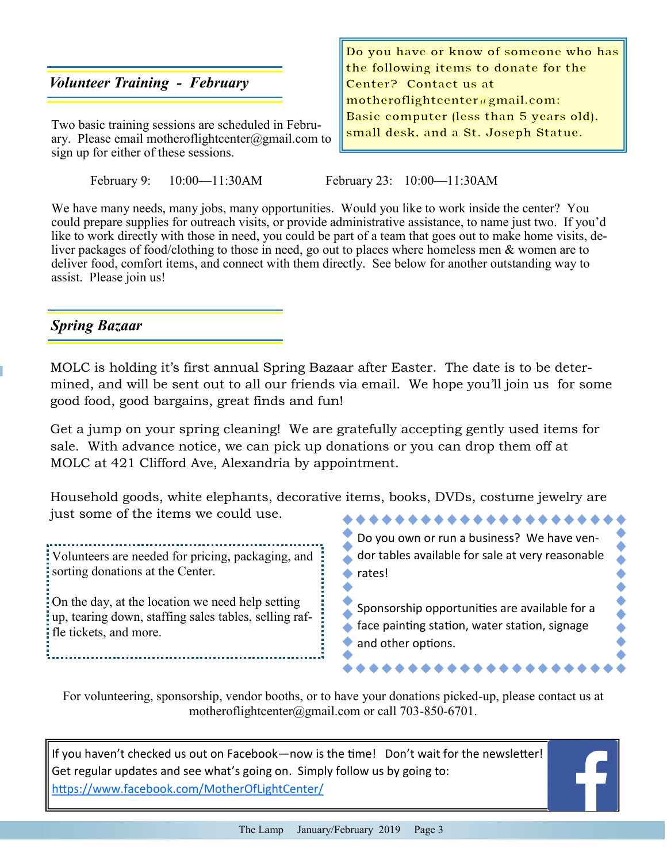## *Volunteer Training - February*

Two basic training sessions are scheduled in February. Please email motheroflightcenter@gmail.com to sign up for either of these sessions.

February 9: 10:00—11:30AM February 23: 10:00—11:30AM

Do you have or know of someone who has the following items to donate for the Center? Contact us at motheroflightcenter@gmail.com: Basic computer (less than 5 years old), small desk, and a St. Joseph Statue.

We have many needs, many jobs, many opportunities. Would you like to work inside the center? You could prepare supplies for outreach visits, or provide administrative assistance, to name just two. If you'd like to work directly with those in need, you could be part of a team that goes out to make home visits, deliver packages of food/clothing to those in need, go out to places where homeless men & women are to deliver food, comfort items, and connect with them directly. See below for another outstanding way to assist. Please join us!

## *Spring Bazaar*

MOLC is holding it's first annual Spring Bazaar after Easter. The date is to be determined, and will be sent out to all our friends via email. We hope you'll join us for some good food, good bargains, great finds and fun!

Get a jump on your spring cleaning! We are gratefully accepting gently used items for sale. With advance notice, we can pick up donations or you can drop them off at MOLC at 421 Clifford Ave, Alexandria by appointment.

Household goods, white elephants, decorative items, books, DVDs, costume jewelry are just some of the items we could use. \*\*\*\*\*\*\*\*\*\*\*\*\*\*\*\*

Volunteers are needed for pricing, packaging, and sorting donations at the Center.

On the day, at the location we need help setting up, tearing down, staffing sales tables, selling raffle tickets, and more.

Do you own or run a business? We have vendor tables available for sale at very reasonable ◆ rates!

Sponsorship opportunities are available for a face painting station, water station, signage and other options.

For volunteering, sponsorship, vendor booths, or to have your donations picked-up, please contact us at motheroflightcenter@gmail.com or call 703-850-6701.

If you haven't checked us out on Facebook—now is the time! Don't wait for the newsletter! Get regular updates and see what's going on. Simply follow us by going to: <https://www.facebook.com/MotherOfLightCenter/>